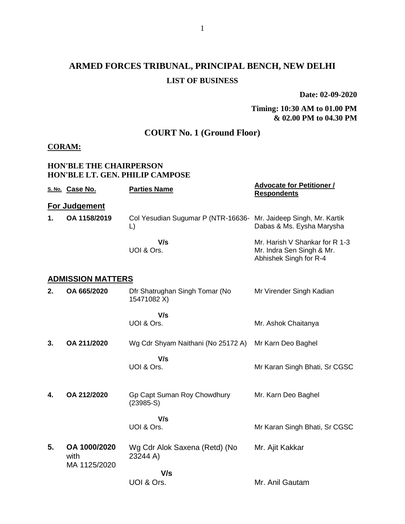# **ARMED FORCES TRIBUNAL, PRINCIPAL BENCH, NEW DELHI LIST OF BUSINESS**

**Date: 02-09-2020**

#### **Timing: 10:30 AM to 01.00 PM & 02.00 PM to 04.30 PM**

## **COURT No. 1 (Ground Floor)**

### **CORAM:**

#### **HON'BLE THE CHAIRPERSON HON'BLE LT. GEN. PHILIP CAMPOSE**

|    | S. No. Case No.                      | <b>Parties Name</b>                                | <b>Advocate for Petitioner /</b><br><b>Respondents</b>                                |
|----|--------------------------------------|----------------------------------------------------|---------------------------------------------------------------------------------------|
|    | For Judgement                        |                                                    |                                                                                       |
| 1. | OA 1158/2019                         | Col Yesudian Sugumar P (NTR-16636-<br>$\mathsf{L}$ | Mr. Jaideep Singh, Mr. Kartik<br>Dabas & Ms. Eysha Marysha                            |
|    |                                      | V/s<br>UOI & Ors.                                  | Mr. Harish V Shankar for R 1-3<br>Mr. Indra Sen Singh & Mr.<br>Abhishek Singh for R-4 |
|    | <b>ADMISSION MATTERS</b>             |                                                    |                                                                                       |
| 2. | OA 665/2020                          | Dfr Shatrughan Singh Tomar (No<br>15471082 X)      | Mr Virender Singh Kadian                                                              |
|    |                                      | V/s                                                |                                                                                       |
|    |                                      | UOI & Ors.                                         | Mr. Ashok Chaitanya                                                                   |
| 3. | OA 211/2020                          | Wg Cdr Shyam Naithani (No 25172 A)                 | Mr Karn Deo Baghel                                                                    |
|    |                                      | V/s<br>UOI & Ors.                                  | Mr Karan Singh Bhati, Sr CGSC                                                         |
| 4. | OA 212/2020                          | Gp Capt Suman Roy Chowdhury<br>$(23985-S)$         | Mr. Karn Deo Baghel                                                                   |
|    |                                      | V/s<br>UOI & Ors.                                  | Mr Karan Singh Bhati, Sr CGSC                                                         |
| 5. | OA 1000/2020<br>with<br>MA 1125/2020 | Wg Cdr Alok Saxena (Retd) (No<br>23244 A)          | Mr. Ajit Kakkar                                                                       |
|    |                                      | V/s                                                |                                                                                       |
|    |                                      | UOI & Ors.                                         | Mr. Anil Gautam                                                                       |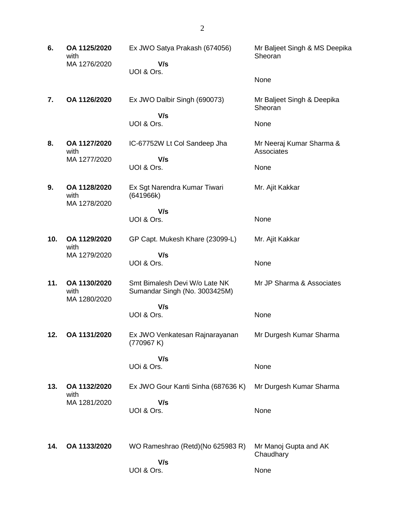**6. OA 1125/2020** with MA 1276/2020 Ex JWO Satya Prakash (674056)  **V/s** UOI & Ors. Mr Baljeet Singh & MS Deepika Sheoran None **7. OA 1126/2020** Ex JWO Dalbir Singh (690073)  **V/s** UOI & Ors. Mr Baljeet Singh & Deepika **Sheoran** None **8. OA 1127/2020** with MA 1277/2020 IC-67752W Lt Col Sandeep Jha  **V/s** UOI & Ors. Mr Neeraj Kumar Sharma & **Associates** None **9. OA 1128/2020** with MA 1278/2020 Ex Sgt Narendra Kumar Tiwari (641966k)  **V/s** UOI & Ors. Mr. Ajit Kakkar None **10. OA 1129/2020** with MA 1279/2020 GP Capt. Mukesh Khare (23099-L)  **V/s** UOI & Ors. Mr. Ajit Kakkar None **11. OA 1130/2020** with MA 1280/2020 Smt Bimalesh Devi W/o Late NK Sumandar Singh (No. 3003425M)  **V/s** UOI & Ors. Mr JP Sharma & Associates None **12. OA 1131/2020** Ex JWO Venkatesan Rajnarayanan (770967 K)  **V/s** UOi & Ors. Mr Durgesh Kumar Sharma None **13. OA 1132/2020** with MA 1281/2020 Ex JWO Gour Kanti Sinha (687636 K)  **V/s** UOI & Ors. Mr Durgesh Kumar Sharma None **14. OA 1133/2020** WO Rameshrao (Retd)(No 625983 R)  **V/s** UOI & Ors. Mr Manoj Gupta and AK **Chaudhary** None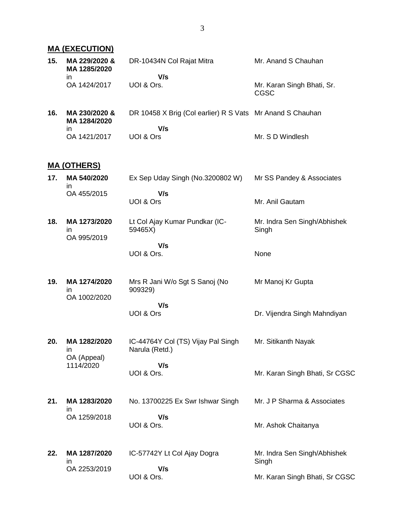## **MA (EXECUTION)**

| 15. | MA 229/2020 &<br>MA 1285/2020                 | DR-10434N Col Rajat Mitra                                        | Mr. Anand S Chauhan                   |
|-----|-----------------------------------------------|------------------------------------------------------------------|---------------------------------------|
|     | ın<br>OA 1424/2017                            | V/s<br>UOI & Ors.                                                | Mr. Karan Singh Bhati, Sr.<br>CGSC    |
| 16. | MA 230/2020 &<br>MA 1284/2020<br>$\mathsf{I}$ | DR 10458 X Brig (Col earlier) R S Vats Mr Anand S Chauhan<br>V/s |                                       |
|     | OA 1421/2017                                  | UOI & Ors                                                        | Mr. S D Windlesh                      |
|     | <u>MA (OTHERS)</u>                            |                                                                  |                                       |
| 17. | MA 540/2020                                   | Ex Sep Uday Singh (No.3200802 W)                                 | Mr SS Pandey & Associates             |
|     | in<br>OA 455/2015                             | V/s<br>UOI & Ors                                                 | Mr. Anil Gautam                       |
| 18. | MA 1273/2020<br>ın<br>OA 995/2019             | Lt Col Ajay Kumar Pundkar (IC-<br>59465X)                        | Mr. Indra Sen Singh/Abhishek<br>Singh |
|     |                                               | V/s<br>UOI & Ors.                                                | None                                  |
| 19. | MA 1274/2020<br>in<br>OA 1002/2020            | Mrs R Jani W/o Sgt S Sanoj (No<br>909329)                        | Mr Manoj Kr Gupta                     |
|     |                                               | V/s<br>UOI & Ors                                                 | Dr. Vijendra Singh Mahndiyan          |
| 20. | MA 1282/2020<br>in<br>OA (Appeal)             | IC-44764Y Col (TS) Vijay Pal Singh<br>Narula (Retd.)             | Mr. Sitikanth Nayak                   |
|     | 1114/2020                                     | V/s<br>UOI & Ors.                                                | Mr. Karan Singh Bhati, Sr CGSC        |
| 21. | MA 1283/2020<br>ın                            | No. 13700225 Ex Swr Ishwar Singh                                 | Mr. J P Sharma & Associates           |
|     | OA 1259/2018                                  | V/s<br>UOI & Ors.                                                | Mr. Ashok Chaitanya                   |
| 22. | MA 1287/2020<br>ın                            | IC-57742Y Lt Col Ajay Dogra                                      | Mr. Indra Sen Singh/Abhishek<br>Singh |
|     | OA 2253/2019                                  | V/s<br>UOI & Ors.                                                | Mr. Karan Singh Bhati, Sr CGSC        |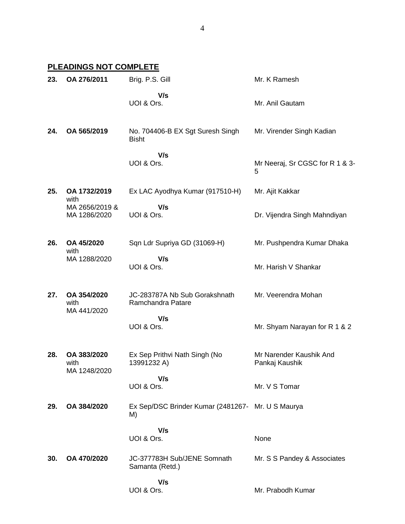## **PLEADINGS NOT COMPLETE**

| 23. | OA 276/2011                         | Brig. P.S. Gill                                         | Mr. K Ramesh                              |
|-----|-------------------------------------|---------------------------------------------------------|-------------------------------------------|
|     |                                     | V/s<br>UOI & Ors.                                       | Mr. Anil Gautam                           |
| 24. | OA 565/2019                         | No. 704406-B EX Sgt Suresh Singh<br><b>Bisht</b>        | Mr. Virender Singh Kadian                 |
|     |                                     | V/s<br>UOI & Ors.                                       | Mr Neeraj, Sr CGSC for R 1 & 3-<br>5      |
| 25. | OA 1732/2019<br>with                | Ex LAC Ayodhya Kumar (917510-H)                         | Mr. Ajit Kakkar                           |
|     | MA 2656/2019 &<br>MA 1286/2020      | V/s<br>UOI & Ors.                                       | Dr. Vijendra Singh Mahndiyan              |
| 26. | OA 45/2020                          | Sqn Ldr Supriya GD (31069-H)                            | Mr. Pushpendra Kumar Dhaka                |
|     | with<br>MA 1288/2020                | V/s<br>UOI & Ors.                                       | Mr. Harish V Shankar                      |
| 27. | OA 354/2020<br>with<br>MA 441/2020  | JC-283787A Nb Sub Gorakshnath<br>Ramchandra Patare      | Mr. Veerendra Mohan                       |
|     |                                     | V/s<br>UOI & Ors.                                       | Mr. Shyam Narayan for R 1 & 2             |
| 28. | OA 383/2020<br>with<br>MA 1248/2020 | Ex Sep Prithvi Nath Singh (No<br>13991232 A)            | Mr Narender Kaushik And<br>Pankaj Kaushik |
|     |                                     | V/s<br>UOI & Ors.                                       | Mr. V S Tomar                             |
| 29. | OA 384/2020                         | Ex Sep/DSC Brinder Kumar (2481267- Mr. U S Maurya<br>M) |                                           |
|     |                                     | V/s<br>UOI & Ors.                                       | None                                      |
| 30. | OA 470/2020                         | JC-377783H Sub/JENE Somnath<br>Samanta (Retd.)          | Mr. S S Pandey & Associates               |
|     |                                     | V/s<br>UOI & Ors.                                       | Mr. Prabodh Kumar                         |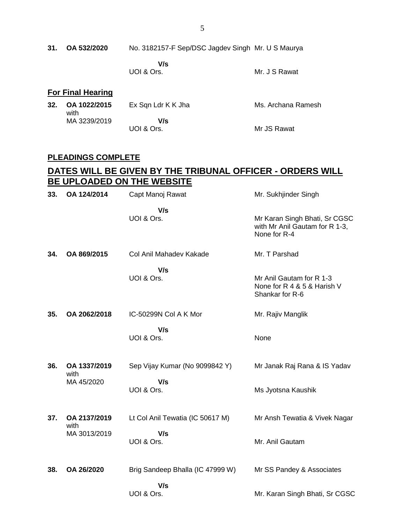**V/s** UOI & Ors.

Mr. J S Rawat

### **For Final Hearing**

|  | 32. OA 1022/2015<br>with | Ex Sqn Ldr K K Jha | Ms. Archana Ramesh |
|--|--------------------------|--------------------|--------------------|
|  | MA 3239/2019             | V/s                |                    |
|  |                          | UOI & Ors.         | Mr JS Rawat        |

### **PLEADINGS COMPLETE**

### **DATES WILL BE GIVEN BY THE TRIBUNAL OFFICER - ORDERS WILL BE UPLOADED ON THE WEBSITE**

| 33. | OA 124/2014          | Capt Manoj Rawat                 | Mr. Sukhjinder Singh                                                            |
|-----|----------------------|----------------------------------|---------------------------------------------------------------------------------|
|     |                      | V/s<br>UOI & Ors.                | Mr Karan Singh Bhati, Sr CGSC<br>with Mr Anil Gautam for R 1-3,<br>None for R-4 |
| 34. | OA 869/2015          | Col Anil Mahadev Kakade          | Mr. T Parshad                                                                   |
|     |                      | V/s<br>UOI & Ors.                | Mr Anil Gautam for R 1-3<br>None for R 4 & 5 & Harish V<br>Shankar for R-6      |
| 35. | OA 2062/2018         | IC-50299N Col A K Mor            | Mr. Rajiv Manglik                                                               |
|     |                      | V/s<br>UOI & Ors.                | None                                                                            |
| 36. | OA 1337/2019<br>with | Sep Vijay Kumar (No 9099842 Y)   | Mr Janak Raj Rana & IS Yadav                                                    |
|     | MA 45/2020           | V/s<br>UOI & Ors.                | Ms Jyotsna Kaushik                                                              |
| 37. | OA 2137/2019<br>with | Lt Col Anil Tewatia (IC 50617 M) | Mr Ansh Tewatia & Vivek Nagar                                                   |
|     | MA 3013/2019         | V/s<br>UOI & Ors.                | Mr. Anil Gautam                                                                 |
| 38. | OA 26/2020           | Brig Sandeep Bhalla (IC 47999 W) | Mr SS Pandey & Associates                                                       |
|     |                      | V/s<br>UOI & Ors.                | Mr. Karan Singh Bhati, Sr CGSC                                                  |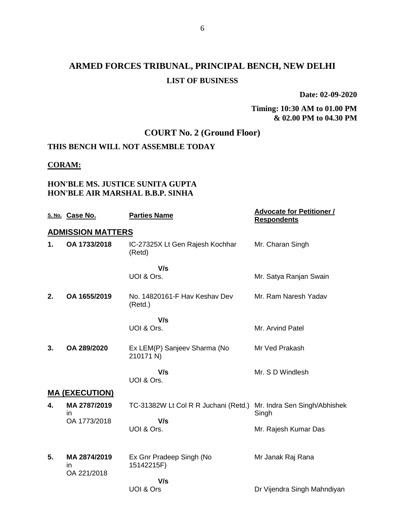# **ARMED FORCES TRIBUNAL, PRINCIPAL BENCH, NEW DELHI LIST OF BUSINESS**

**Date: 02-09-2020**

#### **Timing: 10:30 AM to 01.00 PM & 02.00 PM to 04.30 PM**

## **COURT No. 2 (Ground Floor)**

## **THIS BENCH WILL NOT ASSEMBLE TODAY**

#### **CORAM:**

### **HON'BLE MS. JUSTICE SUNITA GUPTA HON'BLE AIR MARSHAL B.B.P. SINHA**

|    | S. No. Case No.          | <b>Parties Name</b>                       | <b>Advocate for Petitioner /</b><br><b>Respondents</b> |
|----|--------------------------|-------------------------------------------|--------------------------------------------------------|
|    | <b>ADMISSION MATTERS</b> |                                           |                                                        |
| 1. | OA 1733/2018             | IC-27325X Lt Gen Rajesh Kochhar<br>(Retd) | Mr. Charan Singh                                       |
|    |                          | V/s<br>UOI & Ors.                         | Mr. Satya Ranjan Swain                                 |
| 2. | OA 1655/2019             | No. 14820161-F Hav Keshav Dev<br>(Retd.)  | Mr. Ram Naresh Yadav                                   |
|    |                          | V/s                                       |                                                        |
|    |                          | UOI & Ors.                                | Mr. Arvind Patel                                       |
| 3. | OA 289/2020              | Ex LEM(P) Sanjeev Sharma (No<br>210171 N) | Mr Ved Prakash                                         |
|    |                          | V/s<br>UOI & Ors.                         | Mr. S D Windlesh                                       |
|    | <b>MA (EXECUTION)</b>    |                                           |                                                        |
| 4. | MA 2787/2019<br>in       | TC-31382W Lt Col R R Juchani (Retd.)      | Mr. Indra Sen Singh/Abhishek<br>Singh                  |
|    | OA 1773/2018             | V/s                                       |                                                        |
|    |                          | UOI & Ors.                                | Mr. Rajesh Kumar Das                                   |
| 5. | MA 2874/2019             | Ex Gnr Pradeep Singh (No                  | Mr Janak Raj Rana                                      |
|    | in<br>OA 221/2018        | 15142215F)                                |                                                        |
|    |                          | V/s                                       |                                                        |
|    |                          | UOI & Ors                                 | Dr Vijendra Singh Mahndiyan                            |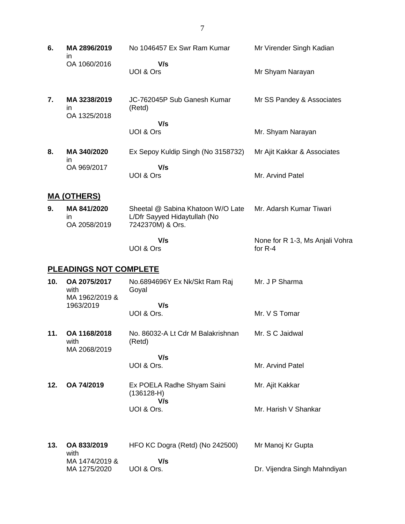| 6.  | MA 2896/2019<br>in.                    | No 1046457 Ex Swr Ram Kumar                                                           | Mr Virender Singh Kadian                     |
|-----|----------------------------------------|---------------------------------------------------------------------------------------|----------------------------------------------|
|     | OA 1060/2016                           | V/s<br>UOI & Ors                                                                      | Mr Shyam Narayan                             |
| 7.  | MA 3238/2019<br>in.<br>OA 1325/2018    | JC-762045P Sub Ganesh Kumar<br>(Retd)                                                 | Mr SS Pandey & Associates                    |
|     |                                        | V/s<br>UOI & Ors                                                                      | Mr. Shyam Narayan                            |
| 8.  | MA 340/2020<br>in.                     | Ex Sepoy Kuldip Singh (No 3158732)                                                    | Mr Ajit Kakkar & Associates                  |
|     | OA 969/2017                            | V/s<br>UOI & Ors                                                                      | Mr. Arvind Patel                             |
|     | <b>MA (OTHERS)</b>                     |                                                                                       |                                              |
| 9.  | MA 841/2020<br>in.<br>OA 2058/2019     | Sheetal @ Sabina Khatoon W/O Late<br>L/Dfr Sayyed Hidaytullah (No<br>7242370M) & Ors. | Mr. Adarsh Kumar Tiwari                      |
|     |                                        | V/s<br>UOI & Ors                                                                      | None for R 1-3, Ms Anjali Vohra<br>for $R-4$ |
|     | <b>PLEADINGS NOT COMPLETE</b>          |                                                                                       |                                              |
| 10. | OA 2075/2017<br>with<br>MA 1962/2019 & | No.6894696Y Ex Nk/Skt Ram Raj<br>Goyal                                                | Mr. J P Sharma                               |
|     | 1963/2019                              | V/s                                                                                   |                                              |
|     |                                        | UOI & Ors.                                                                            | Mr. V S Tomar                                |
| 11. | OA 1168/2018<br>with<br>MA 2068/2019   | No. 86032-A Lt Cdr M Balakrishnan<br>(Retd)                                           | Mr. S C Jaidwal                              |
|     |                                        | V/s<br>UOI & Ors.                                                                     | Mr. Arvind Patel                             |
|     |                                        |                                                                                       |                                              |
| 12. | OA 74/2019                             | Ex POELA Radhe Shyam Saini<br>$(136128-H)$<br>V/s                                     | Mr. Ajit Kakkar                              |
|     |                                        | UOI & Ors.                                                                            | Mr. Harish V Shankar                         |
| 13. | OA 833/2019                            | HFO KC Dogra (Retd) (No 242500)                                                       | Mr Manoj Kr Gupta                            |

with MA 1474/2019 & MA 1275/2020  **V/s** UOI & Ors. Dr. Vijendra Singh Mahndiyan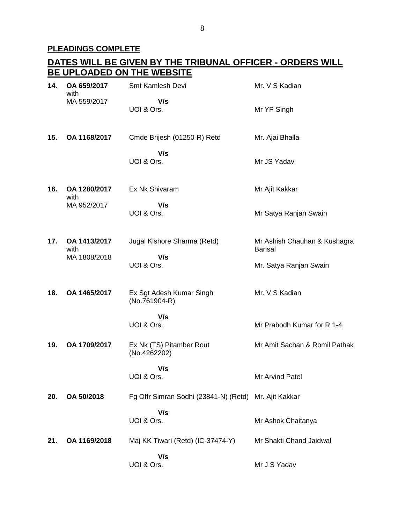## **PLEADINGS COMPLETE**

|     |                      | <u>DATES WILL BE GIVEN BY THE TRIBUNAL OFFICER - ORDERS WILL</u> |                                               |
|-----|----------------------|------------------------------------------------------------------|-----------------------------------------------|
|     |                      | BE UPLOADED ON THE WEBSITE                                       |                                               |
| 14. | OA 659/2017<br>with  | Smt Kamlesh Devi                                                 | Mr. V S Kadian                                |
|     | MA 559/2017          | V/s<br>UOI & Ors.                                                | Mr YP Singh                                   |
| 15. | OA 1168/2017         | Cmde Brijesh (01250-R) Retd                                      | Mr. Ajai Bhalla                               |
|     |                      | V/s<br>UOI & Ors.                                                | Mr JS Yadav                                   |
| 16. | OA 1280/2017<br>with | Ex Nk Shivaram                                                   | Mr Ajit Kakkar                                |
|     | MA 952/2017          | V/s<br>UOI & Ors.                                                | Mr Satya Ranjan Swain                         |
| 17. | OA 1413/2017<br>with | Jugal Kishore Sharma (Retd)                                      | Mr Ashish Chauhan & Kushagra<br><b>Bansal</b> |
|     | MA 1808/2018         | V/s<br>UOI & Ors.                                                | Mr. Satya Ranjan Swain                        |
| 18. | OA 1465/2017         | Ex Sgt Adesh Kumar Singh<br>$(No.761904-R)$                      | Mr. V S Kadian                                |
|     |                      | V/s<br>UOI & Ors.                                                | Mr Prabodh Kumar for R 1-4                    |
| 19. | OA 1709/2017         | Ex Nk (TS) Pitamber Rout<br>(No.4262202)                         | Mr Amit Sachan & Romil Pathak                 |
|     |                      | V/s<br>UOI & Ors.                                                | Mr Arvind Patel                               |
| 20. | OA 50/2018           | Fg Offr Simran Sodhi (23841-N) (Retd) Mr. Ajit Kakkar            |                                               |
|     |                      | V/s<br>UOI & Ors.                                                | Mr Ashok Chaitanya                            |
| 21. | OA 1169/2018         | Maj KK Tiwari (Retd) (IC-37474-Y)                                | Mr Shakti Chand Jaidwal                       |
|     |                      | V/s<br>UOI & Ors.                                                | Mr J S Yadav                                  |